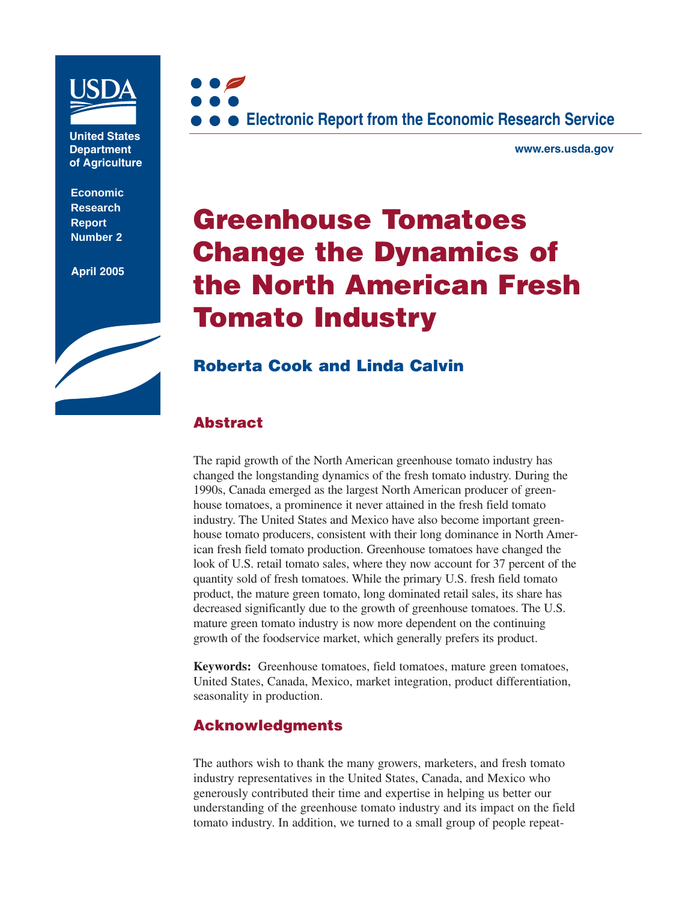

**United States Department of Agriculture**

**Economic Research Report Number 2**

**April 2005**





**www.ers.usda.gov**

# **Greenhouse Tomatoes Change the Dynamics of the North American Fresh Tomato Industry**

## **Roberta Cook and Linda Calvin**

#### **Abstract**

The rapid growth of the North American greenhouse tomato industry has changed the longstanding dynamics of the fresh tomato industry. During the 1990s, Canada emerged as the largest North American producer of greenhouse tomatoes, a prominence it never attained in the fresh field tomato industry. The United States and Mexico have also become important greenhouse tomato producers, consistent with their long dominance in North American fresh field tomato production. Greenhouse tomatoes have changed the look of U.S. retail tomato sales, where they now account for 37 percent of the quantity sold of fresh tomatoes. While the primary U.S. fresh field tomato product, the mature green tomato, long dominated retail sales, its share has decreased significantly due to the growth of greenhouse tomatoes. The U.S. mature green tomato industry is now more dependent on the continuing growth of the foodservice market, which generally prefers its product.

**Keywords:** Greenhouse tomatoes, field tomatoes, mature green tomatoes, United States, Canada, Mexico, market integration, product differentiation, seasonality in production.

### **Acknowledgments**

The authors wish to thank the many growers, marketers, and fresh tomato industry representatives in the United States, Canada, and Mexico who generously contributed their time and expertise in helping us better our understanding of the greenhouse tomato industry and its impact on the field tomato industry. In addition, we turned to a small group of people repeat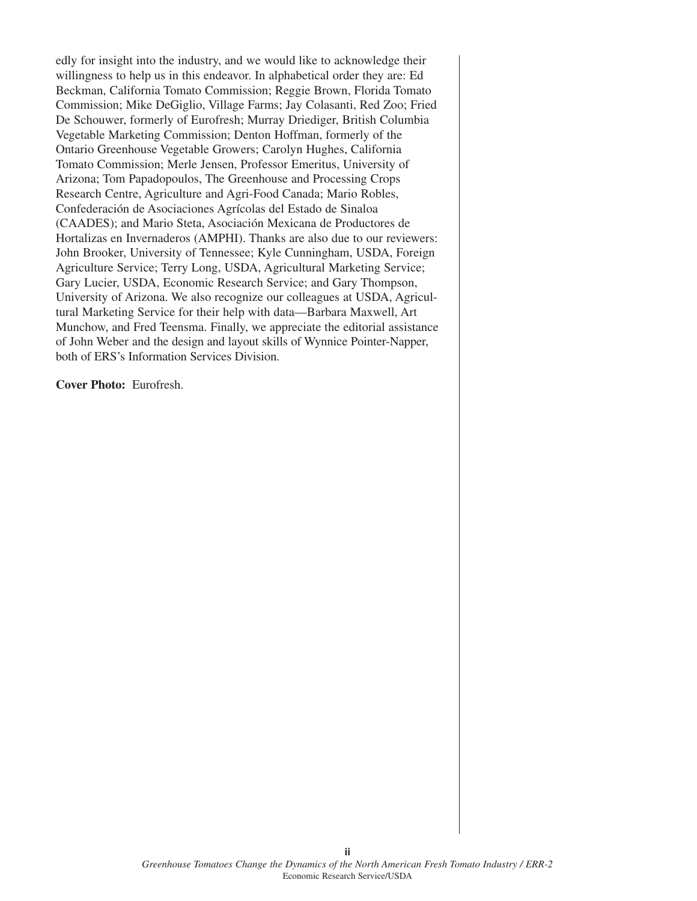edly for insight into the industry, and we would like to acknowledge their willingness to help us in this endeavor. In alphabetical order they are: Ed Beckman, California Tomato Commission; Reggie Brown, Florida Tomato Commission; Mike DeGiglio, Village Farms; Jay Colasanti, Red Zoo; Fried De Schouwer, formerly of Eurofresh; Murray Driediger, British Columbia Vegetable Marketing Commission; Denton Hoffman, formerly of the Ontario Greenhouse Vegetable Growers; Carolyn Hughes, California Tomato Commission; Merle Jensen, Professor Emeritus, University of Arizona; Tom Papadopoulos, The Greenhouse and Processing Crops Research Centre, Agriculture and Agri-Food Canada; Mario Robles, Confederación de Asociaciones Agrícolas del Estado de Sinaloa (CAADES); and Mario Steta, Asociación Mexicana de Productores de Hortalizas en Invernaderos (AMPHI). Thanks are also due to our reviewers: John Brooker, University of Tennessee; Kyle Cunningham, USDA, Foreign Agriculture Service; Terry Long, USDA, Agricultural Marketing Service; Gary Lucier, USDA, Economic Research Service; and Gary Thompson, University of Arizona. We also recognize our colleagues at USDA, Agricultural Marketing Service for their help with data—Barbara Maxwell, Art Munchow, and Fred Teensma. Finally, we appreciate the editorial assistance of John Weber and the design and layout skills of Wynnice Pointer-Napper, both of ERS's Information Services Division.

**Cover Photo:** Eurofresh.